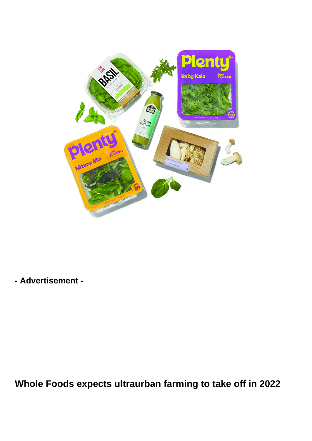

**- Advertisement -**

**Whole Foods expects ultraurban farming to take off in 2022**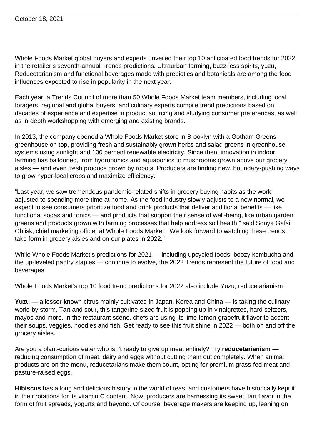Whole Foods Market global buyers and experts unveiled their top 10 anticipated food trends for 2022 in the retailer's seventh-annual Trends predictions. Ultraurban farming, buzz-less spirits, yuzu, Reducetarianism and functional beverages made with prebiotics and botanicals are among the food influences expected to rise in popularity in the next year.

Each year, a Trends Council of more than 50 Whole Foods Market team members, including local foragers, regional and global buyers, and culinary experts compile trend predictions based on decades of experience and expertise in product sourcing and studying consumer preferences, as well as in-depth workshopping with emerging and existing brands.

In 2013, the company opened a Whole Foods Market store in Brooklyn with a Gotham Greens greenhouse on top, providing fresh and sustainably grown herbs and salad greens in greenhouse systems using sunlight and 100 percent renewable electricity. Since then, innovation in indoor farming has ballooned, from hydroponics and aquaponics to mushrooms grown above our grocery aisles — and even fresh produce grown by robots. Producers are finding new, boundary-pushing ways to grow hyper-local crops and maximize efficiency.

"Last year, we saw tremendous pandemic-related shifts in grocery buying habits as the world adjusted to spending more time at home. As the food industry slowly adjusts to a new normal, we expect to see consumers prioritize food and drink products that deliver additional benefits — like functional sodas and tonics — and products that support their sense of well-being, like urban garden greens and products grown with farming processes that help address soil health," said Sonya Gafsi Oblisk, chief marketing officer at Whole Foods Market. "We look forward to watching these trends take form in grocery aisles and on our plates in 2022."

While Whole Foods Market's predictions for 2021 — including upcycled foods, boozy kombucha and the up-leveled pantry staples — continue to evolve, the 2022 Trends represent the future of food and beverages.

Whole Foods Market's top 10 food trend predictions for 2022 also include Yuzu, reducetarianism

**Yuzu** — a lesser-known citrus mainly cultivated in Japan, Korea and China — is taking the culinary world by storm. Tart and sour, this tangerine-sized fruit is popping up in vinaigrettes, hard seltzers, mayos and more. In the restaurant scene, chefs are using its lime-lemon-grapefruit flavor to accent their soups, veggies, noodles and fish. Get ready to see this fruit shine in 2022 — both on and off the grocery aisles.

Are you a plant-curious eater who isn't ready to give up meat entirely? Try **reducetarianism** reducing consumption of meat, dairy and eggs without cutting them out completely. When animal products are on the menu, reducetarians make them count, opting for premium grass-fed meat and pasture-raised eggs.

**Hibiscus** has a long and delicious history in the world of teas, and customers have historically kept it in their rotations for its vitamin C content. Now, producers are harnessing its sweet, tart flavor in the form of fruit spreads, yogurts and beyond. Of course, beverage makers are keeping up, leaning on